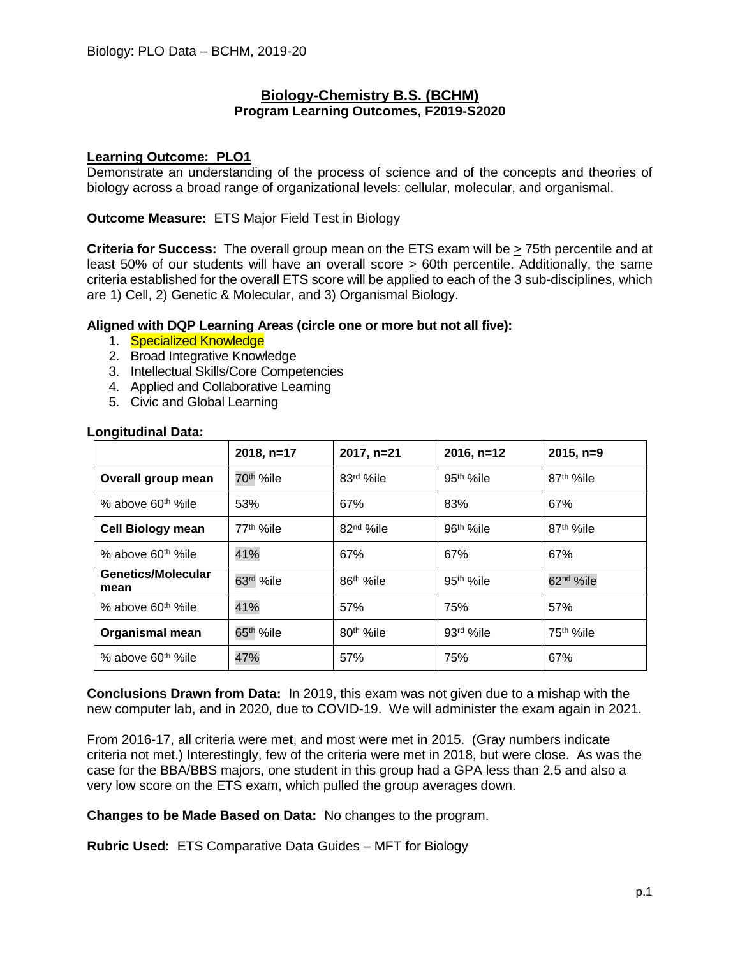## **Biology-Chemistry B.S. (BCHM) Program Learning Outcomes, F2019-S2020**

## **Learning Outcome: PLO1**

Demonstrate an understanding of the process of science and of the concepts and theories of biology across a broad range of organizational levels: cellular, molecular, and organismal.

### **Outcome Measure:** ETS Major Field Test in Biology

**Criteria for Success:** The overall group mean on the ETS exam will be > 75th percentile and at least 50% of our students will have an overall score > 60th percentile. Additionally, the same criteria established for the overall ETS score will be applied to each of the 3 sub-disciplines, which are 1) Cell, 2) Genetic & Molecular, and 3) Organismal Biology.

## **Aligned with DQP Learning Areas (circle one or more but not all five):**

- 1. Specialized Knowledge
- 2. Broad Integrative Knowledge
- 3. Intellectual Skills/Core Competencies
- 4. Applied and Collaborative Learning
- 5. Civic and Global Learning

|                                   | 2018, n=17             | 2017, n=21             | $2016, n=12$          | $2015, n=9$            |
|-----------------------------------|------------------------|------------------------|-----------------------|------------------------|
| Overall group mean                | 70 <sup>th</sup> %ile  | 83rd %ile              | 95 <sup>th</sup> %ile | 87 <sup>th %</sup> ile |
| % above 60 <sup>th %</sup> ile    | 53%                    | 67%                    | 83%                   | 67%                    |
| <b>Cell Biology mean</b>          | 77 <sup>th %</sup> ile | 82 <sup>nd</sup> %ile  | 96 <sup>th</sup> %ile | 87 <sup>th %</sup> ile |
| % above 60 <sup>th %</sup> ile    | 41%                    | 67%                    | 67%                   | 67%                    |
| <b>Genetics/Molecular</b><br>mean | 63rd %ile              | 86 <sup>th %</sup> ile | 95 <sup>th</sup> %ile | 62 <sup>nd</sup> %ile  |
| % above 60 <sup>th %</sup> ile    | 41%                    | 57%                    | 75%                   | 57%                    |
| <b>Organismal mean</b>            | 65 <sup>th</sup> %ile  | 80 <sup>th</sup> %ile  | 93rd %ile             | 75 <sup>th</sup> %ile  |
| % above 60 <sup>th %</sup> ile    | 47%                    | 57%                    | 75%                   | 67%                    |

## **Longitudinal Data:**

**Conclusions Drawn from Data:** In 2019, this exam was not given due to a mishap with the new computer lab, and in 2020, due to COVID-19. We will administer the exam again in 2021.

From 2016-17, all criteria were met, and most were met in 2015. (Gray numbers indicate criteria not met.) Interestingly, few of the criteria were met in 2018, but were close. As was the case for the BBA/BBS majors, one student in this group had a GPA less than 2.5 and also a very low score on the ETS exam, which pulled the group averages down.

**Changes to be Made Based on Data:** No changes to the program.

**Rubric Used:** ETS Comparative Data Guides – MFT for Biology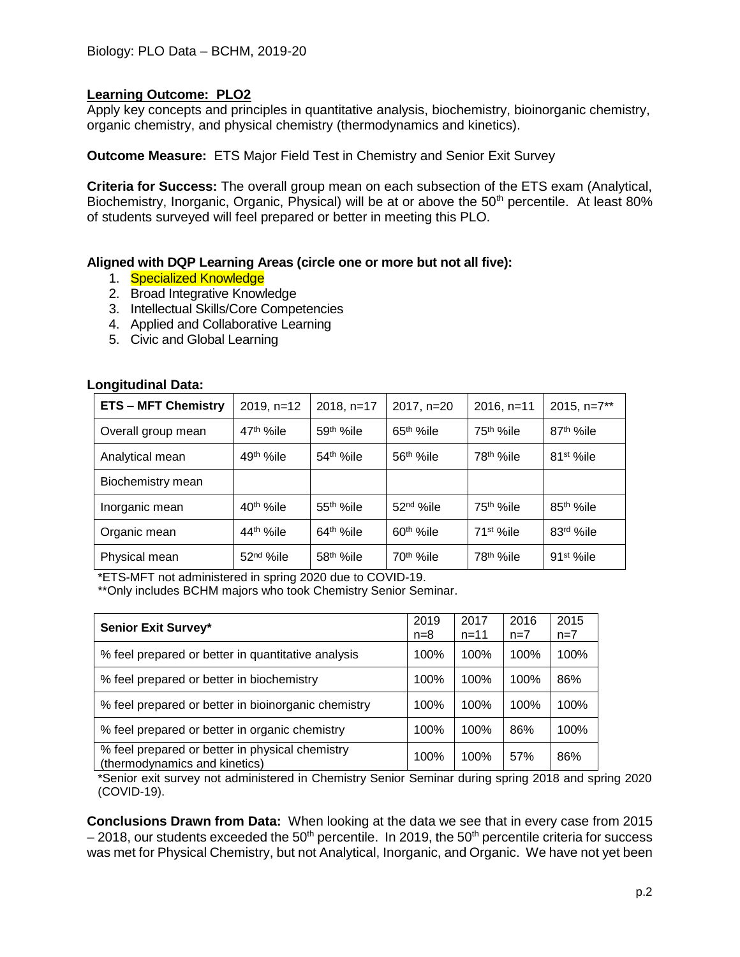Apply key concepts and principles in quantitative analysis, biochemistry, bioinorganic chemistry, organic chemistry, and physical chemistry (thermodynamics and kinetics).

**Outcome Measure:** ETS Major Field Test in Chemistry and Senior Exit Survey

**Criteria for Success:** The overall group mean on each subsection of the ETS exam (Analytical, Biochemistry, Inorganic, Organic, Physical) will be at or above the 50<sup>th</sup> percentile. At least 80% of students surveyed will feel prepared or better in meeting this PLO.

## **Aligned with DQP Learning Areas (circle one or more but not all five):**

- 1. Specialized Knowledge
- 2. Broad Integrative Knowledge
- 3. Intellectual Skills/Core Competencies
- 4. Applied and Collaborative Learning
- 5. Civic and Global Learning

#### **Longitudinal Data:**

| <b>ETS - MFT Chemistry</b> | 2019, n=12            | 2018, n=17            | 2017, n=20            | $2016, n=11$           | 2015, n=7**            |
|----------------------------|-----------------------|-----------------------|-----------------------|------------------------|------------------------|
| Overall group mean         | 47 <sup>th</sup> %ile | $59th$ %ile           | $65th$ %ile           | 75 <sup>th %</sup> ile | 87 <sup>th %</sup> ile |
| Analytical mean            | 49 <sup>th</sup> %ile | 54 <sup>th</sup> %ile | 56 <sup>th</sup> %ile | 78 <sup>th %</sup> ile | 81 <sup>st</sup> %ile  |
| Biochemistry mean          |                       |                       |                       |                        |                        |
| Inorganic mean             | 40 <sup>th</sup> %ile | $55th$ %ile           | 52 <sup>nd</sup> %ile | 75 <sup>th %</sup> ile | 85 <sup>th</sup> %ile  |
| Organic mean               | 44 <sup>th</sup> %ile | $64th$ %ile           | $60th$ %ile           | $71st$ %ile            | 83rd %ile              |
| Physical mean              | 52 <sup>nd</sup> %ile | 58 <sup>th</sup> %ile | 70 <sup>th</sup> %ile | 78 <sup>th</sup> %ile  | 91 <sup>st</sup> %ile  |

\*ETS-MFT not administered in spring 2020 due to COVID-19.

\*\*Only includes BCHM majors who took Chemistry Senior Seminar.

| <b>Senior Exit Survey*</b>                                                       | 2019<br>$n=8$ | 2017<br>$n = 11$ | 2016<br>$n=7$ | 2015<br>$n=7$ |
|----------------------------------------------------------------------------------|---------------|------------------|---------------|---------------|
| % feel prepared or better in quantitative analysis                               | 100%          | 100%             | 100%          | 100%          |
| % feel prepared or better in biochemistry                                        | 100%          | 100%             | 100%          | 86%           |
| % feel prepared or better in bioinorganic chemistry                              | 100%          | 100%             | 100%          | 100%          |
| % feel prepared or better in organic chemistry                                   | 100%          | 100%             | 86%           | 100%          |
| % feel prepared or better in physical chemistry<br>(thermodynamics and kinetics) | 100%          | 100%             | 57%           | 86%           |

\*Senior exit survey not administered in Chemistry Senior Seminar during spring 2018 and spring 2020 (COVID-19).

**Conclusions Drawn from Data:** When looking at the data we see that in every case from 2015  $-2018$ , our students exceeded the 50<sup>th</sup> percentile. In 2019, the 50<sup>th</sup> percentile criteria for success was met for Physical Chemistry, but not Analytical, Inorganic, and Organic. We have not yet been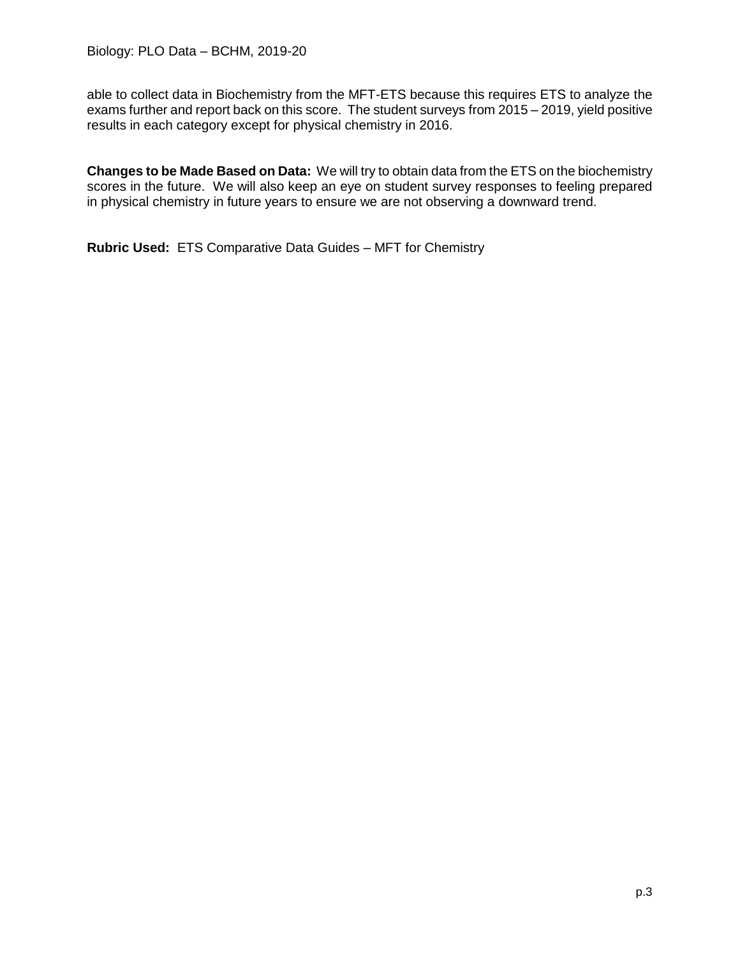able to collect data in Biochemistry from the MFT-ETS because this requires ETS to analyze the exams further and report back on this score. The student surveys from 2015 – 2019, yield positive results in each category except for physical chemistry in 2016.

**Changes to be Made Based on Data:** We will try to obtain data from the ETS on the biochemistry scores in the future. We will also keep an eye on student survey responses to feeling prepared in physical chemistry in future years to ensure we are not observing a downward trend.

**Rubric Used:** ETS Comparative Data Guides – MFT for Chemistry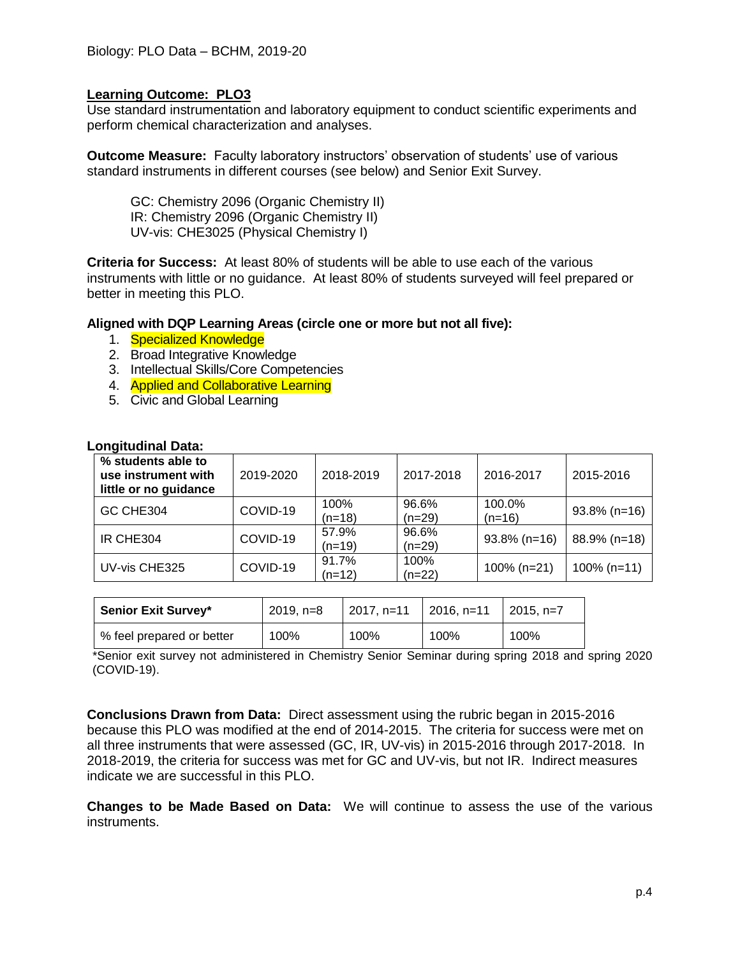Use standard instrumentation and laboratory equipment to conduct scientific experiments and perform chemical characterization and analyses.

**Outcome Measure:** Faculty laboratory instructors' observation of students' use of various standard instruments in different courses (see below) and Senior Exit Survey.

GC: Chemistry 2096 (Organic Chemistry II) IR: Chemistry 2096 (Organic Chemistry II) UV-vis: CHE3025 (Physical Chemistry I)

**Criteria for Success:** At least 80% of students will be able to use each of the various instruments with little or no guidance. At least 80% of students surveyed will feel prepared or better in meeting this PLO.

#### **Aligned with DQP Learning Areas (circle one or more but not all five):**

- 1. Specialized Knowledge
- 2. Broad Integrative Knowledge
- 3. Intellectual Skills/Core Competencies
- 4. **Applied and Collaborative Learning**
- 5. Civic and Global Learning

| % students able to<br>use instrument with<br>little or no guidance | 2019-2020                    | 2018-2019         | 2017-2018         | 2016-2017          | 2015-2016       |
|--------------------------------------------------------------------|------------------------------|-------------------|-------------------|--------------------|-----------------|
| GC CHE304                                                          | 100%<br>COVID-19<br>$(n=18)$ |                   | 96.6%<br>$(n=29)$ | 100.0%<br>$(n=16)$ | $93.8\%$ (n=16) |
| IR CHE304                                                          | COVID-19                     | 57.9%<br>$(n=19)$ | 96.6%<br>$(n=29)$ | $93.8\%$ (n=16)    | 88.9% (n=18)    |
| UV-vis CHE325                                                      | COVID-19                     | 91.7%<br>$(n=12)$ | 100%<br>$(n=22)$  | $100\%$ (n=21)     | $100\%$ (n=11)  |

#### **Longitudinal Data:**

| Senior Exit Survey*       | $2019, n=8$ | $12017, n=11$ | $\vert$ 2016, n=11 | $\mid$ 2015. n=7 |  |
|---------------------------|-------------|---------------|--------------------|------------------|--|
| % feel prepared or better | 100%        | 100%          | 100%               | 100%             |  |

\*Senior exit survey not administered in Chemistry Senior Seminar during spring 2018 and spring 2020 (COVID-19).

**Conclusions Drawn from Data:** Direct assessment using the rubric began in 2015-2016 because this PLO was modified at the end of 2014-2015. The criteria for success were met on all three instruments that were assessed (GC, IR, UV-vis) in 2015-2016 through 2017-2018. In 2018-2019, the criteria for success was met for GC and UV-vis, but not IR. Indirect measures indicate we are successful in this PLO.

**Changes to be Made Based on Data:** We will continue to assess the use of the various instruments.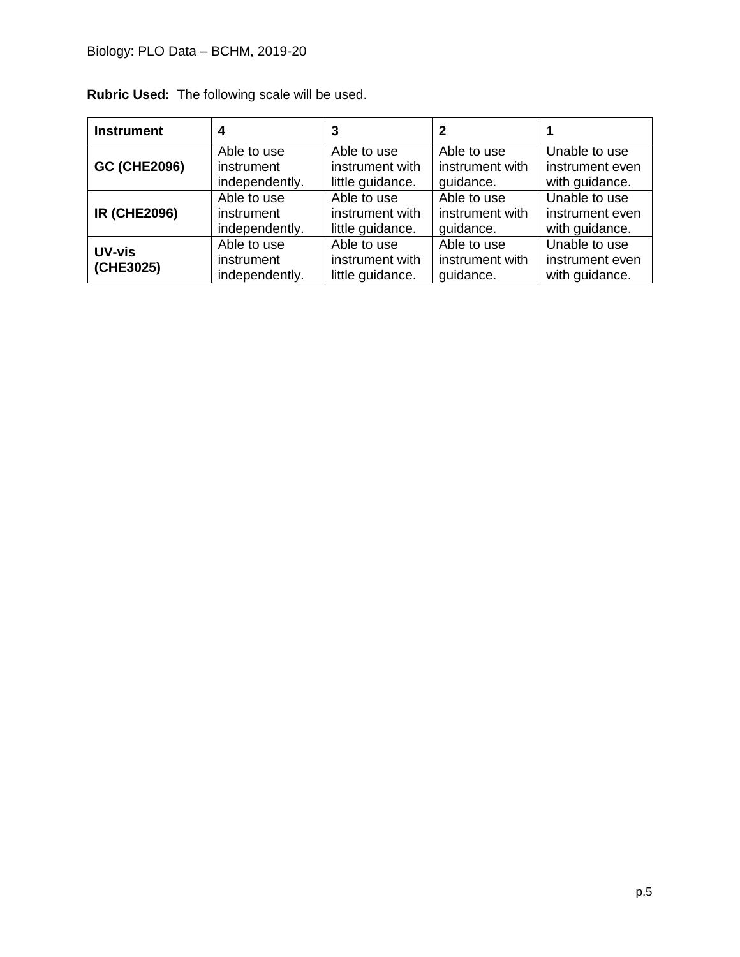| <b>Instrument</b>   |                                             | 3                                                  |                                             |                                                    |
|---------------------|---------------------------------------------|----------------------------------------------------|---------------------------------------------|----------------------------------------------------|
| <b>GC (CHE2096)</b> | Able to use                                 | Able to use                                        | Able to use                                 | Unable to use                                      |
|                     | instrument                                  | instrument with                                    | instrument with                             | instrument even                                    |
|                     | independently.                              | little guidance.                                   | quidance.                                   | with guidance.                                     |
| <b>IR (CHE2096)</b> | Able to use                                 | Able to use                                        | Able to use                                 | Unable to use                                      |
|                     | instrument                                  | instrument with                                    | instrument with                             | instrument even                                    |
|                     | independently.                              | little guidance.                                   | quidance.                                   | with guidance.                                     |
| UV-vis<br>(CHE3025) | Able to use<br>instrument<br>independently. | Able to use<br>instrument with<br>little guidance. | Able to use<br>instrument with<br>quidance. | Unable to use<br>instrument even<br>with guidance. |

**Rubric Used:** The following scale will be used.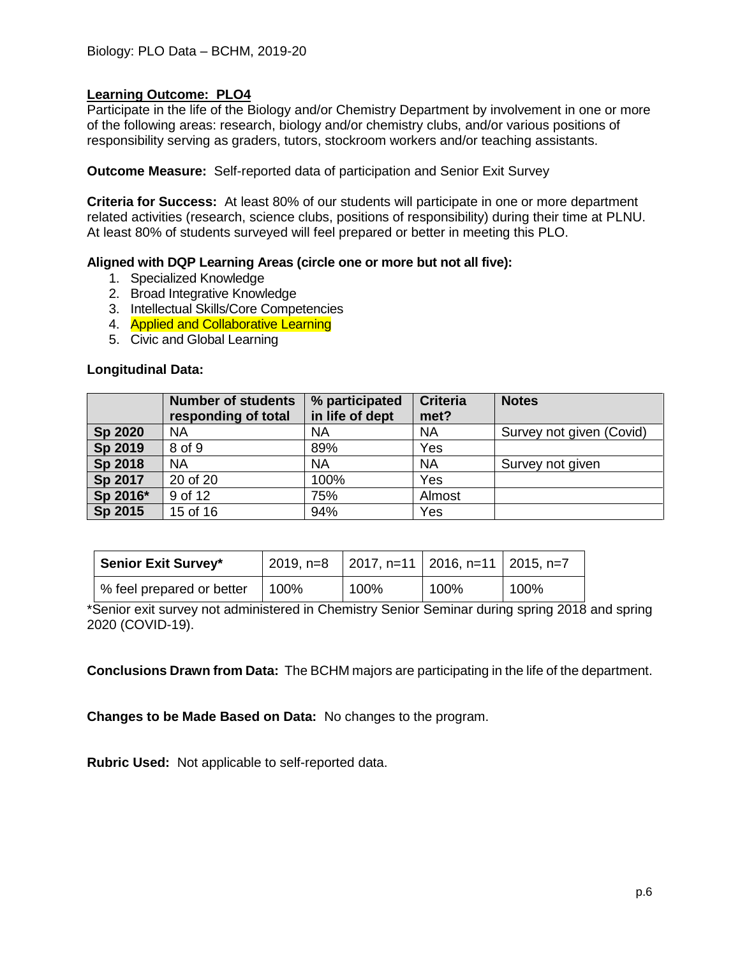Participate in the life of the Biology and/or Chemistry Department by involvement in one or more of the following areas: research, biology and/or chemistry clubs, and/or various positions of responsibility serving as graders, tutors, stockroom workers and/or teaching assistants.

**Outcome Measure:** Self-reported data of participation and Senior Exit Survey

**Criteria for Success:** At least 80% of our students will participate in one or more department related activities (research, science clubs, positions of responsibility) during their time at PLNU. At least 80% of students surveyed will feel prepared or better in meeting this PLO.

#### **Aligned with DQP Learning Areas (circle one or more but not all five):**

- 1. Specialized Knowledge
- 2. Broad Integrative Knowledge
- 3. Intellectual Skills/Core Competencies
- 4. **Applied and Collaborative Learning**
- 5. Civic and Global Learning

#### **Longitudinal Data:**

|          | <b>Number of students</b><br>responding of total | % participated<br>in life of dept | <b>Criteria</b><br>met? | <b>Notes</b>             |
|----------|--------------------------------------------------|-----------------------------------|-------------------------|--------------------------|
| Sp 2020  | <b>NA</b>                                        | <b>NA</b>                         | <b>NA</b>               | Survey not given (Covid) |
| Sp 2019  | 8 of 9                                           | 89%                               | Yes                     |                          |
| Sp 2018  | <b>NA</b>                                        | <b>NA</b>                         | <b>NA</b>               | Survey not given         |
| Sp 2017  | 20 of 20                                         | 100%                              | Yes                     |                          |
| Sp 2016* | 9 of 12                                          | 75%                               | Almost                  |                          |
| Sp 2015  | 15 of 16                                         | 94%                               | Yes                     |                          |

| <b>Senior Exit Survey*</b> |      | 2019, n=8 $\vert$ 2017, n=11 $\vert$ 2016, n=11 $\vert$ 2015, n=7 |      |      |  |
|----------------------------|------|-------------------------------------------------------------------|------|------|--|
| % feel prepared or better  | 100% | 100%                                                              | 100% | 100% |  |

\*Senior exit survey not administered in Chemistry Senior Seminar during spring 2018 and spring 2020 (COVID-19).

**Conclusions Drawn from Data:** The BCHM majors are participating in the life of the department.

**Changes to be Made Based on Data:** No changes to the program.

**Rubric Used:** Not applicable to self-reported data.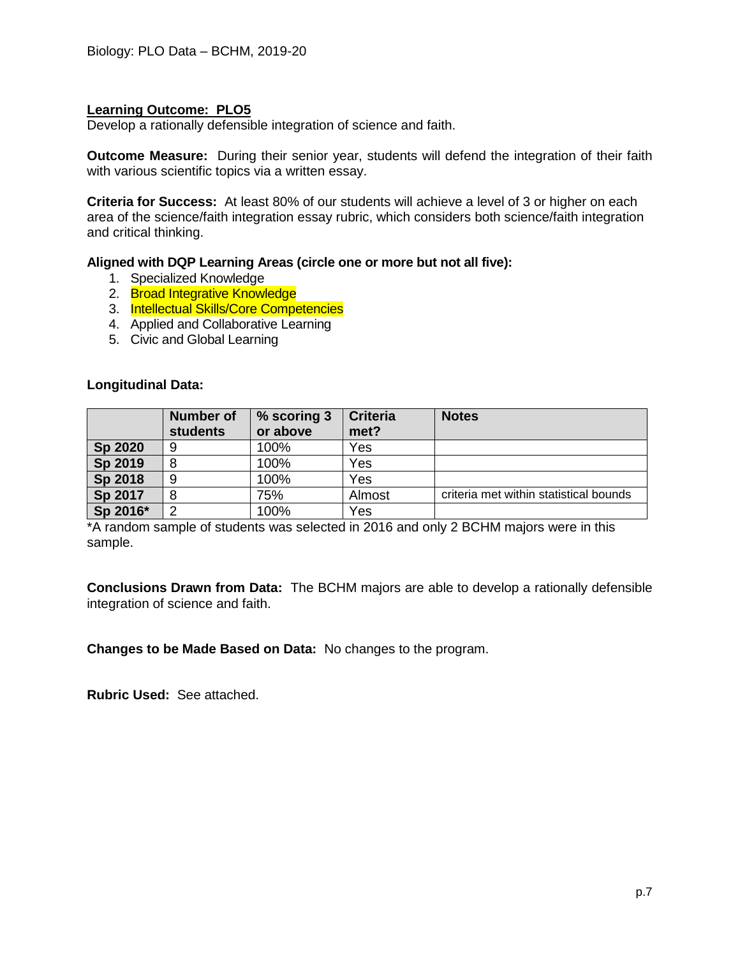Develop a rationally defensible integration of science and faith.

**Outcome Measure:** During their senior year, students will defend the integration of their faith with various scientific topics via a written essay.

**Criteria for Success:** At least 80% of our students will achieve a level of 3 or higher on each area of the science/faith integration essay rubric, which considers both science/faith integration and critical thinking.

## **Aligned with DQP Learning Areas (circle one or more but not all five):**

- 1. Specialized Knowledge
- 2. Broad Integrative Knowledge
- 3. Intellectual Skills/Core Competencies
- 4. Applied and Collaborative Learning
- 5. Civic and Global Learning

#### **Longitudinal Data:**

|          | <b>Number of</b><br><b>students</b> | % scoring 3<br>or above | <b>Criteria</b><br>met? | <b>Notes</b>                           |
|----------|-------------------------------------|-------------------------|-------------------------|----------------------------------------|
| Sp 2020  | 9                                   | 100%                    | Yes                     |                                        |
| Sp 2019  | 8                                   | 100%                    | Yes                     |                                        |
| Sp 2018  | 9                                   | 100%                    | Yes                     |                                        |
| Sp 2017  | 8                                   | 75%                     | Almost                  | criteria met within statistical bounds |
| Sp 2016* | ⌒                                   | 100%                    | Yes                     |                                        |

\*A random sample of students was selected in 2016 and only 2 BCHM majors were in this sample.

**Conclusions Drawn from Data:** The BCHM majors are able to develop a rationally defensible integration of science and faith.

**Changes to be Made Based on Data:** No changes to the program.

**Rubric Used:** See attached.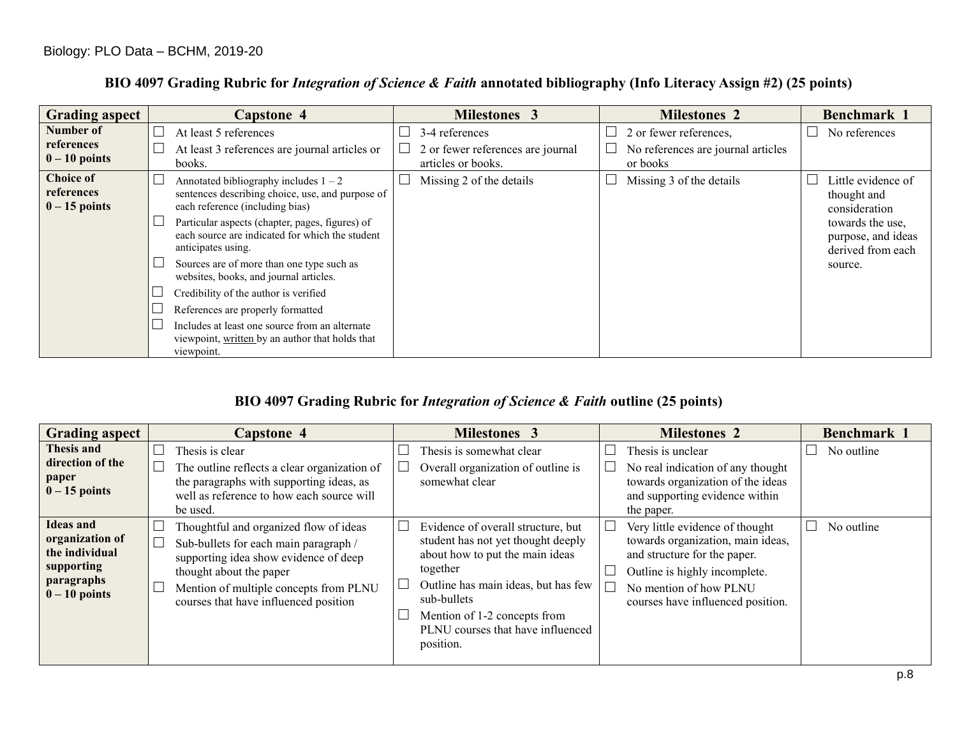| <b>Grading aspect</b>                             |                             | Capstone 4                                                                                                                     | <b>Milestones 3</b>                                     |        | <b>Milestones 2</b>                            | <b>Benchmark</b> 1                                          |
|---------------------------------------------------|-----------------------------|--------------------------------------------------------------------------------------------------------------------------------|---------------------------------------------------------|--------|------------------------------------------------|-------------------------------------------------------------|
| Number of                                         |                             | At least 5 references                                                                                                          | 3-4 references                                          | $\Box$ | 2 or fewer references,                         | No references                                               |
| references<br>$0 - 10$ points                     | $\Box$                      | At least 3 references are journal articles or<br>books.                                                                        | 2 or fewer references are journal<br>articles or books. | $\Box$ | No references are journal articles<br>or books |                                                             |
| <b>Choice of</b><br>references<br>$0 - 15$ points | $\mathcal{L}_{\mathcal{A}}$ | Annotated bibliography includes $1 - 2$<br>sentences describing choice, use, and purpose of<br>each reference (including bias) | Missing 2 of the details                                |        | Missing 3 of the details                       | Little evidence of<br>thought and<br>consideration          |
|                                                   |                             | Particular aspects (chapter, pages, figures) of<br>each source are indicated for which the student<br>anticipates using.       |                                                         |        |                                                | towards the use,<br>purpose, and ideas<br>derived from each |
|                                                   |                             | Sources are of more than one type such as<br>websites, books, and journal articles.                                            |                                                         |        |                                                | source.                                                     |
|                                                   |                             | Credibility of the author is verified                                                                                          |                                                         |        |                                                |                                                             |
|                                                   |                             | References are properly formatted                                                                                              |                                                         |        |                                                |                                                             |
|                                                   |                             | Includes at least one source from an alternate<br>viewpoint, written by an author that holds that<br>viewpoint.                |                                                         |        |                                                |                                                             |

# **BIO 4097 Grading Rubric for** *Integration of Science & Faith* **annotated bibliography (Info Literacy Assign #2) (25 points)**

## **BIO 4097 Grading Rubric for** *Integration of Science & Faith* **outline (25 points)**

| <b>Grading aspect</b>                                                                                | <b>Capstone 4</b>                                                                                                                                                                                                                      | <b>Milestones 3</b>                                                                                                                                                                                                                                                       | <b>Milestones 2</b>                                                                                                                                                                                  | Benchmark 1 |
|------------------------------------------------------------------------------------------------------|----------------------------------------------------------------------------------------------------------------------------------------------------------------------------------------------------------------------------------------|---------------------------------------------------------------------------------------------------------------------------------------------------------------------------------------------------------------------------------------------------------------------------|------------------------------------------------------------------------------------------------------------------------------------------------------------------------------------------------------|-------------|
| Thesis and<br>direction of the<br>paper<br>$0 - 15$ points                                           | Thesis is clear<br>The outline reflects a clear organization of<br>the paragraphs with supporting ideas, as<br>well as reference to how each source will<br>be used.                                                                   | Thesis is somewhat clear<br>Overall organization of outline is<br>somewhat clear                                                                                                                                                                                          | Thesis is unclear<br>No real indication of any thought<br>towards organization of the ideas<br>and supporting evidence within<br>the paper.                                                          | No outline  |
| <b>Ideas</b> and<br>organization of<br>the individual<br>supporting<br>paragraphs<br>$0 - 10$ points | Thoughtful and organized flow of ideas<br>Sub-bullets for each main paragraph /<br>supporting idea show evidence of deep<br>thought about the paper<br>Mention of multiple concepts from PLNU<br>courses that have influenced position | $\Box$<br>Evidence of overall structure, but<br>student has not yet thought deeply<br>about how to put the main ideas<br>together<br>Outline has main ideas, but has few<br>sub-bullets<br>Mention of 1-2 concepts from<br>PLNU courses that have influenced<br>position. | Very little evidence of thought<br>towards organization, main ideas,<br>and structure for the paper.<br>Outline is highly incomplete.<br>No mention of how PLNU<br>courses have influenced position. | No outline  |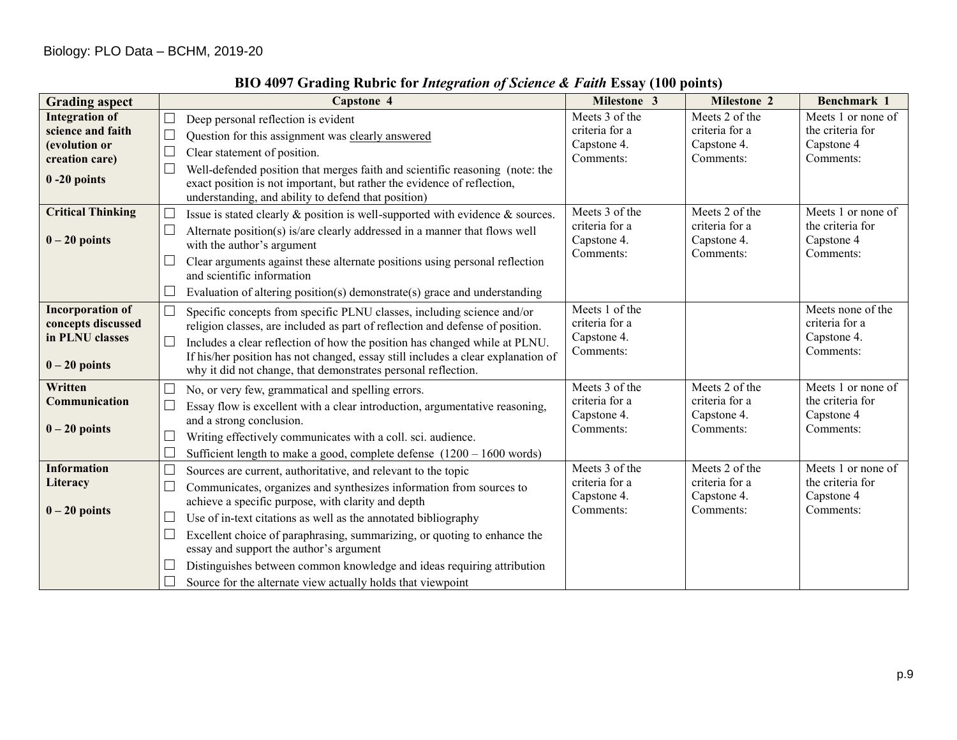| <b>Grading aspect</b>                                                                            | Capstone 4                                                                                                                                                                                                                                                                                                                                                                                                                                                                                                                                                      | Milestone 3                                                  | Milestone 2                                                  | Benchmark 1                                                       |
|--------------------------------------------------------------------------------------------------|-----------------------------------------------------------------------------------------------------------------------------------------------------------------------------------------------------------------------------------------------------------------------------------------------------------------------------------------------------------------------------------------------------------------------------------------------------------------------------------------------------------------------------------------------------------------|--------------------------------------------------------------|--------------------------------------------------------------|-------------------------------------------------------------------|
| <b>Integration of</b><br>science and faith<br>(evolution or<br>creation care)<br>$0 - 20$ points | $\Box$<br>Deep personal reflection is evident<br>$\Box$<br>Question for this assignment was clearly answered<br>$\Box$<br>Clear statement of position.<br>Well-defended position that merges faith and scientific reasoning (note: the<br>$\Box$<br>exact position is not important, but rather the evidence of reflection,<br>understanding, and ability to defend that position)                                                                                                                                                                              | Meets 3 of the<br>criteria for a<br>Capstone 4.<br>Comments: | Meets 2 of the<br>criteria for a<br>Capstone 4.<br>Comments: | Meets 1 or none of<br>the criteria for<br>Capstone 4<br>Comments: |
| <b>Critical Thinking</b><br>$0 - 20$ points                                                      | $\mathbf{L}$<br>Issue is stated clearly & position is well-supported with evidence & sources.<br>$\Box$<br>Alternate position(s) is/are clearly addressed in a manner that flows well<br>with the author's argument<br>Clear arguments against these alternate positions using personal reflection<br>and scientific information<br>Evaluation of altering position(s) demonstrate(s) grace and understanding                                                                                                                                                   | Meets 3 of the<br>criteria for a<br>Capstone 4.<br>Comments: | Meets 2 of the<br>criteria for a<br>Capstone 4.<br>Comments: | Meets 1 or none of<br>the criteria for<br>Capstone 4<br>Comments: |
| <b>Incorporation of</b><br>concepts discussed<br>in PLNU classes<br>$0 - 20$ points              | $\Box$<br>Specific concepts from specific PLNU classes, including science and/or<br>religion classes, are included as part of reflection and defense of position.<br>$\Box$<br>Includes a clear reflection of how the position has changed while at PLNU.<br>If his/her position has not changed, essay still includes a clear explanation of<br>why it did not change, that demonstrates personal reflection.                                                                                                                                                  | Meets 1 of the<br>criteria for a<br>Capstone 4.<br>Comments: |                                                              | Meets none of the<br>criteria for a<br>Capstone 4.<br>Comments:   |
| Written<br>Communication<br>$0 - 20$ points                                                      | No, or very few, grammatical and spelling errors.<br>П<br>Essay flow is excellent with a clear introduction, argumentative reasoning,<br>and a strong conclusion.<br>$\Box$<br>Writing effectively communicates with a coll. sci. audience.<br>Sufficient length to make a good, complete defense $(1200 - 1600$ words)                                                                                                                                                                                                                                         | Meets 3 of the<br>criteria for a<br>Capstone 4.<br>Comments: | Meets 2 of the<br>criteria for a<br>Capstone 4.<br>Comments: | Meets 1 or none of<br>the criteria for<br>Capstone 4<br>Comments: |
| <b>Information</b><br>Literacy<br>$0 - 20$ points                                                | $\Box$<br>Sources are current, authoritative, and relevant to the topic<br>П<br>Communicates, organizes and synthesizes information from sources to<br>achieve a specific purpose, with clarity and depth<br>Use of in-text citations as well as the annotated bibliography<br>$\Box$<br>$\Box$<br>Excellent choice of paraphrasing, summarizing, or quoting to enhance the<br>essay and support the author's argument<br>Distinguishes between common knowledge and ideas requiring attribution<br>Source for the alternate view actually holds that viewpoint | Meets 3 of the<br>criteria for a<br>Capstone 4.<br>Comments: | Meets 2 of the<br>criteria for a<br>Capstone 4.<br>Comments: | Meets 1 or none of<br>the criteria for<br>Capstone 4<br>Comments: |

# **BIO 4097 Grading Rubric for** *Integration of Science & Faith* **Essay (100 points)**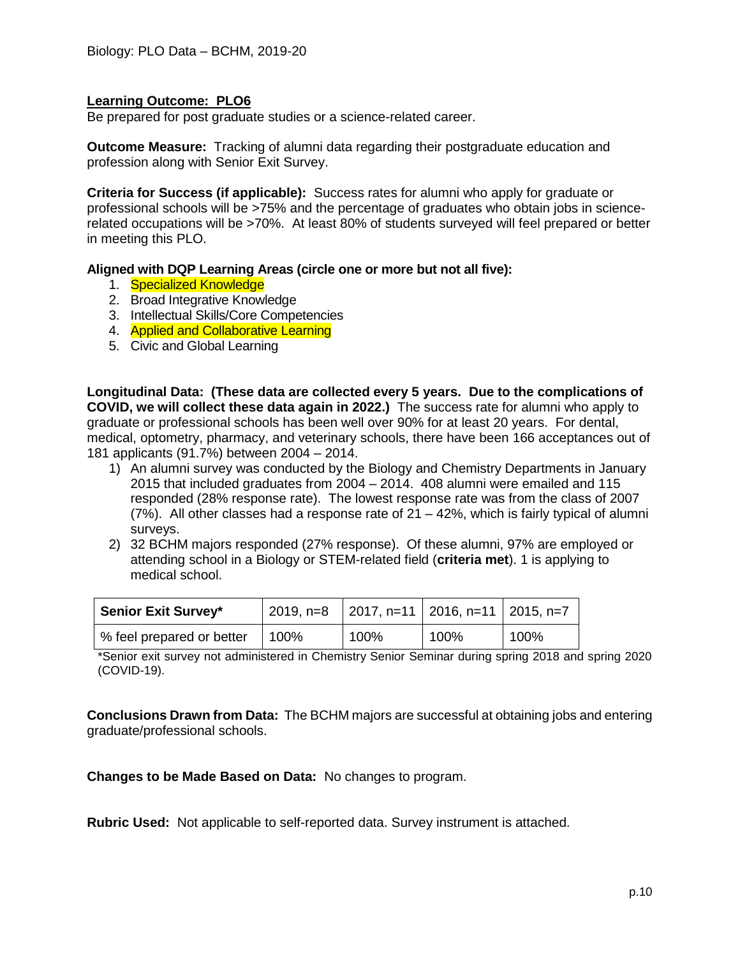Be prepared for post graduate studies or a science-related career.

**Outcome Measure:** Tracking of alumni data regarding their postgraduate education and profession along with Senior Exit Survey.

**Criteria for Success (if applicable):** Success rates for alumni who apply for graduate or professional schools will be >75% and the percentage of graduates who obtain jobs in sciencerelated occupations will be >70%. At least 80% of students surveyed will feel prepared or better in meeting this PLO.

#### **Aligned with DQP Learning Areas (circle one or more but not all five):**

- 1. Specialized Knowledge
- 2. Broad Integrative Knowledge
- 3. Intellectual Skills/Core Competencies
- 4. Applied and Collaborative Learning
- 5. Civic and Global Learning

**Longitudinal Data: (These data are collected every 5 years. Due to the complications of COVID, we will collect these data again in 2022.)** The success rate for alumni who apply to graduate or professional schools has been well over 90% for at least 20 years. For dental, medical, optometry, pharmacy, and veterinary schools, there have been 166 acceptances out of 181 applicants (91.7%) between 2004 – 2014.

- 1) An alumni survey was conducted by the Biology and Chemistry Departments in January 2015 that included graduates from 2004 – 2014. 408 alumni were emailed and 115 responded (28% response rate). The lowest response rate was from the class of 2007 (7%). All other classes had a response rate of 21 – 42%, which is fairly typical of alumni surveys.
- 2) 32 BCHM majors responded (27% response). Of these alumni, 97% are employed or attending school in a Biology or STEM-related field (**criteria met**). 1 is applying to medical school.

| <b>Senior Exit Survey*</b> | 2019, n=8 | 2017, n=11   2016, n=11   2015, n=7 |      |      |
|----------------------------|-----------|-------------------------------------|------|------|
| % feel prepared or better  | 100%      | 100%                                | 100% | 100% |

\*Senior exit survey not administered in Chemistry Senior Seminar during spring 2018 and spring 2020 (COVID-19).

**Conclusions Drawn from Data:** The BCHM majors are successful at obtaining jobs and entering graduate/professional schools.

**Changes to be Made Based on Data:** No changes to program.

**Rubric Used:** Not applicable to self-reported data. Survey instrument is attached.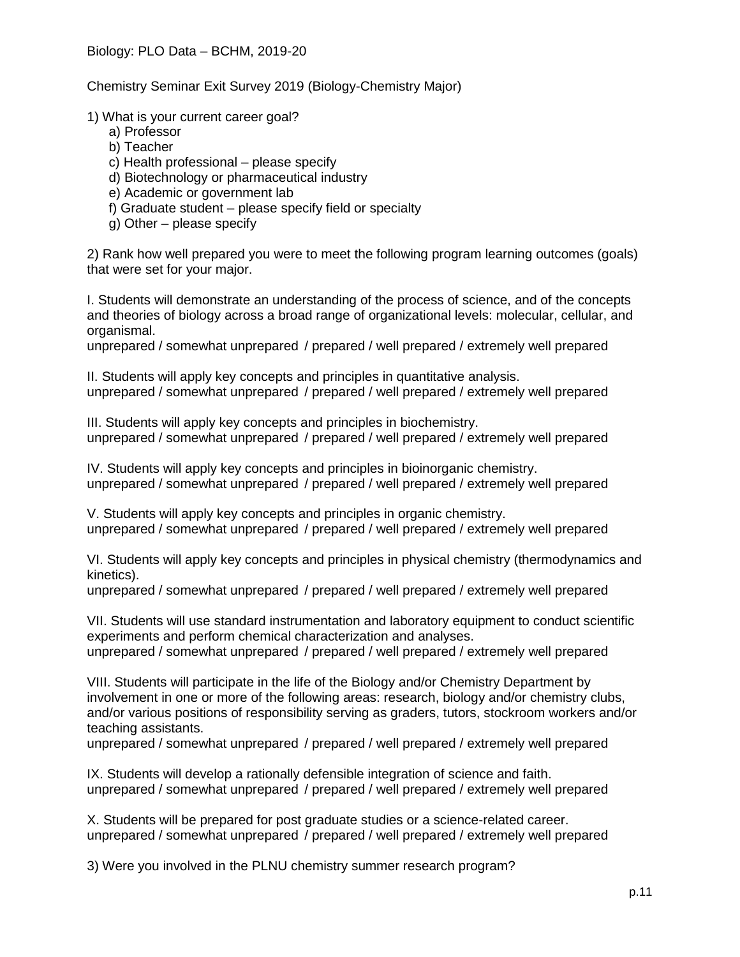Chemistry Seminar Exit Survey 2019 (Biology-Chemistry Major)

1) What is your current career goal?

- a) Professor
- b) Teacher
- c) Health professional please specify
- d) Biotechnology or pharmaceutical industry
- e) Academic or government lab
- f) Graduate student please specify field or specialty
- g) Other please specify

2) Rank how well prepared you were to meet the following program learning outcomes (goals) that were set for your major.

I. Students will demonstrate an understanding of the process of science, and of the concepts and theories of biology across a broad range of organizational levels: molecular, cellular, and organismal.

unprepared / somewhat unprepared / prepared / well prepared / extremely well prepared

II. Students will apply key concepts and principles in quantitative analysis. unprepared / somewhat unprepared / prepared / well prepared / extremely well prepared

III. Students will apply key concepts and principles in biochemistry. unprepared / somewhat unprepared / prepared / well prepared / extremely well prepared

IV. Students will apply key concepts and principles in bioinorganic chemistry. unprepared / somewhat unprepared / prepared / well prepared / extremely well prepared

V. Students will apply key concepts and principles in organic chemistry. unprepared / somewhat unprepared / prepared / well prepared / extremely well prepared

VI. Students will apply key concepts and principles in physical chemistry (thermodynamics and kinetics).

unprepared / somewhat unprepared / prepared / well prepared / extremely well prepared

VII. Students will use standard instrumentation and laboratory equipment to conduct scientific experiments and perform chemical characterization and analyses. unprepared / somewhat unprepared / prepared / well prepared / extremely well prepared

VIII. Students will participate in the life of the Biology and/or Chemistry Department by involvement in one or more of the following areas: research, biology and/or chemistry clubs, and/or various positions of responsibility serving as graders, tutors, stockroom workers and/or teaching assistants.

unprepared / somewhat unprepared / prepared / well prepared / extremely well prepared

IX. Students will develop a rationally defensible integration of science and faith. unprepared / somewhat unprepared / prepared / well prepared / extremely well prepared

X. Students will be prepared for post graduate studies or a science-related career. unprepared / somewhat unprepared / prepared / well prepared / extremely well prepared

3) Were you involved in the PLNU chemistry summer research program?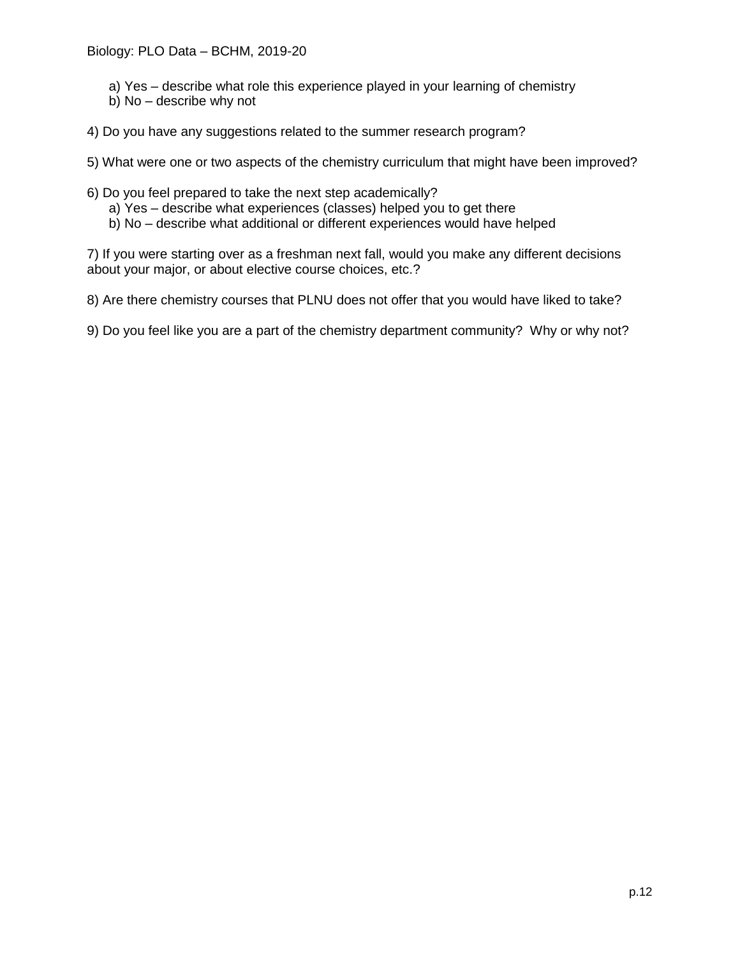- a) Yes describe what role this experience played in your learning of chemistry
- b) No describe why not
- 4) Do you have any suggestions related to the summer research program?

5) What were one or two aspects of the chemistry curriculum that might have been improved?

- 6) Do you feel prepared to take the next step academically?
	- a) Yes describe what experiences (classes) helped you to get there
	- b) No describe what additional or different experiences would have helped

7) If you were starting over as a freshman next fall, would you make any different decisions about your major, or about elective course choices, etc.?

8) Are there chemistry courses that PLNU does not offer that you would have liked to take?

9) Do you feel like you are a part of the chemistry department community? Why or why not?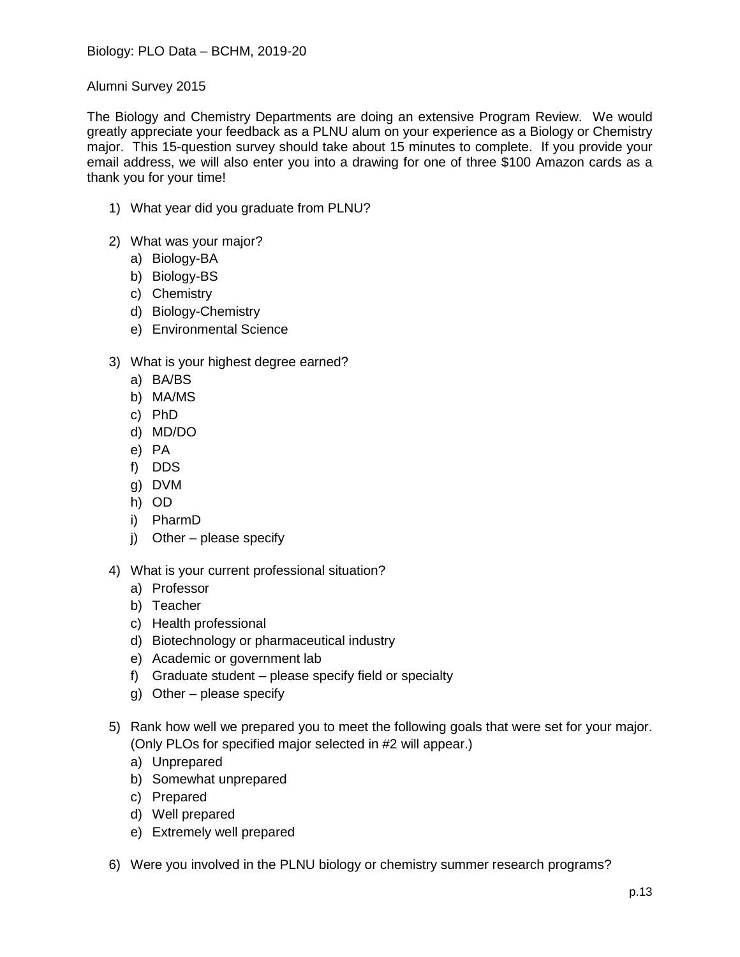Alumni Survey 2015

The Biology and Chemistry Departments are doing an extensive Program Review. We would greatly appreciate your feedback as a PLNU alum on your experience as a Biology or Chemistry major. This 15-question survey should take about 15 minutes to complete. If you provide your email address, we will also enter you into a drawing for one of three \$100 Amazon cards as a thank you for your time!

- 1) What year did you graduate from PLNU?
- 2) What was your major?
	- a) Biology-BA
	- b) Biology-BS
	- c) Chemistry
	- d) Biology-Chemistry
	- e) Environmental Science
- 3) What is your highest degree earned?
	- a) BA/BS
	- b) MA/MS
	- c) PhD
	- d) MD/DO
	- e) PA
	- f) DDS
	- g) DVM
	- h) OD
	- i) PharmD
	- j) Other please specify
- 4) What is your current professional situation?
	- a) Professor
	- b) Teacher
	- c) Health professional
	- d) Biotechnology or pharmaceutical industry
	- e) Academic or government lab
	- f) Graduate student please specify field or specialty
	- g) Other please specify
- 5) Rank how well we prepared you to meet the following goals that were set for your major. (Only PLOs for specified major selected in #2 will appear.)
	- a) Unprepared
	- b) Somewhat unprepared
	- c) Prepared
	- d) Well prepared
	- e) Extremely well prepared
- 6) Were you involved in the PLNU biology or chemistry summer research programs?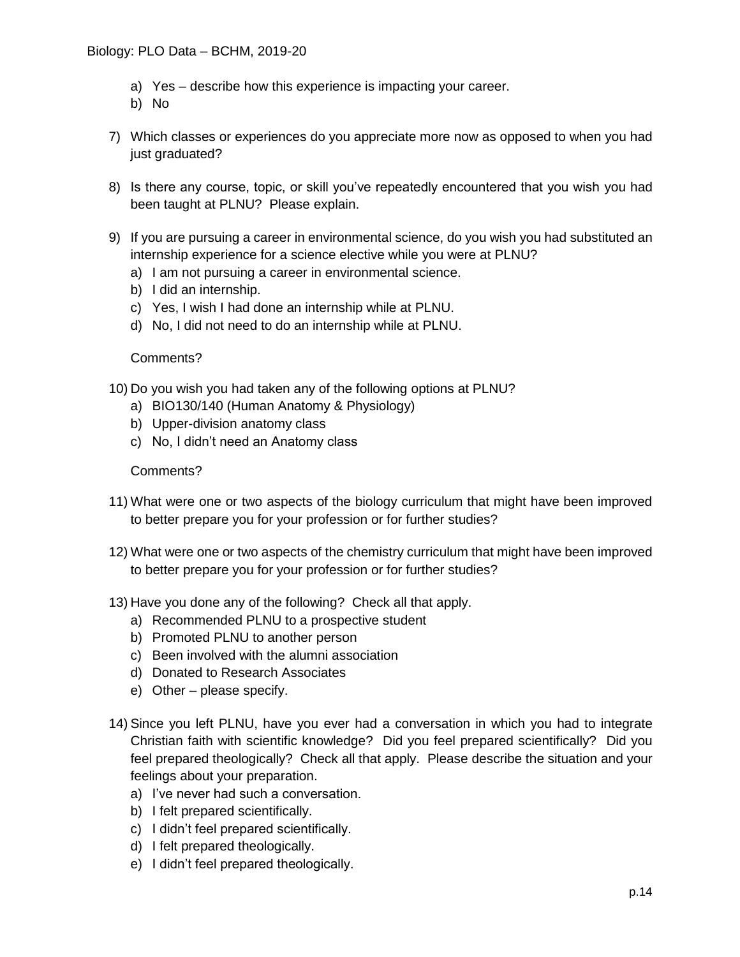- a) Yes describe how this experience is impacting your career.
- b) No
- 7) Which classes or experiences do you appreciate more now as opposed to when you had just graduated?
- 8) Is there any course, topic, or skill you've repeatedly encountered that you wish you had been taught at PLNU? Please explain.
- 9) If you are pursuing a career in environmental science, do you wish you had substituted an internship experience for a science elective while you were at PLNU?
	- a) I am not pursuing a career in environmental science.
	- b) I did an internship.
	- c) Yes, I wish I had done an internship while at PLNU.
	- d) No, I did not need to do an internship while at PLNU.

## Comments?

- 10) Do you wish you had taken any of the following options at PLNU?
	- a) BIO130/140 (Human Anatomy & Physiology)
	- b) Upper-division anatomy class
	- c) No, I didn't need an Anatomy class

## Comments?

- 11) What were one or two aspects of the biology curriculum that might have been improved to better prepare you for your profession or for further studies?
- 12) What were one or two aspects of the chemistry curriculum that might have been improved to better prepare you for your profession or for further studies?
- 13) Have you done any of the following? Check all that apply.
	- a) Recommended PLNU to a prospective student
	- b) Promoted PLNU to another person
	- c) Been involved with the alumni association
	- d) Donated to Research Associates
	- e) Other please specify.
- 14) Since you left PLNU, have you ever had a conversation in which you had to integrate Christian faith with scientific knowledge? Did you feel prepared scientifically? Did you feel prepared theologically? Check all that apply. Please describe the situation and your feelings about your preparation.
	- a) I've never had such a conversation.
	- b) I felt prepared scientifically.
	- c) I didn't feel prepared scientifically.
	- d) I felt prepared theologically.
	- e) I didn't feel prepared theologically.